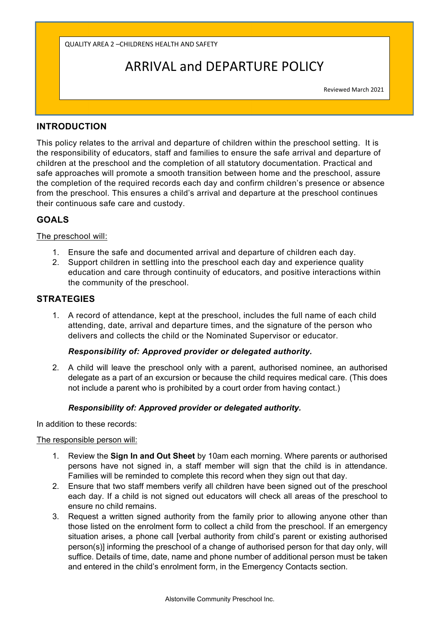QUALITY AREA 2 –CHILDRENS HEALTH AND SAFETY

# ARRIVAL and DEPARTURE POLICY

 Reviewed March 2021

# **INTRODUCTION**

This policy relates to the arrival and departure of children within the preschool setting. It is the responsibility of educators, staff and families to ensure the safe arrival and departure of children at the preschool and the completion of all statutory documentation. Practical and safe approaches will promote a smooth transition between home and the preschool, assure the completion of the required records each day and confirm children's presence or absence from the preschool. This ensures a child's arrival and departure at the preschool continues their continuous safe care and custody.

# **GOALS**

### The preschool will:

- 1. Ensure the safe and documented arrival and departure of children each day.
- 2. Support children in settling into the preschool each day and experience quality education and care through continuity of educators, and positive interactions within the community of the preschool.

## **STRATEGIES**

1. A record of attendance, kept at the preschool, includes the full name of each child attending, date, arrival and departure times, and the signature of the person who delivers and collects the child or the Nominated Supervisor or educator.

### *Responsibility of: Approved provider or delegated authority.*

2. A child will leave the preschool only with a parent, authorised nominee, an authorised delegate as a part of an excursion or because the child requires medical care. (This does not include a parent who is prohibited by a court order from having contact.)

### *Responsibility of: Approved provider or delegated authority.*

In addition to these records:

#### The responsible person will:

- 1. Review the **Sign In and Out Sheet** by 10am each morning. Where parents or authorised persons have not signed in, a staff member will sign that the child is in attendance. Families will be reminded to complete this record when they sign out that day.
- 2. Ensure that two staff members verify all children have been signed out of the preschool each day. If a child is not signed out educators will check all areas of the preschool to ensure no child remains.
- 3. Request a written signed authority from the family prior to allowing anyone other than those listed on the enrolment form to collect a child from the preschool. If an emergency situation arises, a phone call [verbal authority from child's parent or existing authorised person(s)] informing the preschool of a change of authorised person for that day only, will suffice. Details of time, date, name and phone number of additional person must be taken and entered in the child's enrolment form, in the Emergency Contacts section.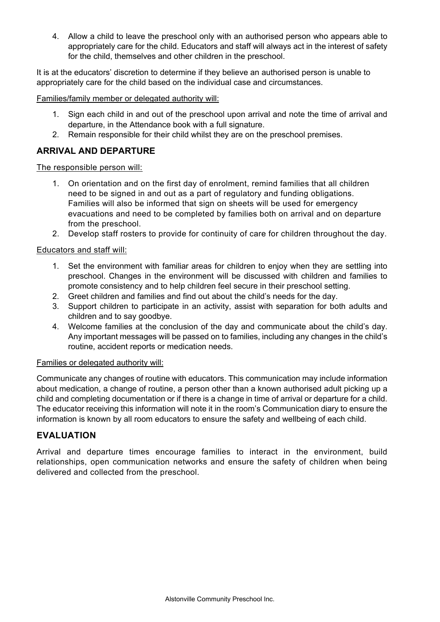4. Allow a child to leave the preschool only with an authorised person who appears able to appropriately care for the child. Educators and staff will always act in the interest of safety for the child, themselves and other children in the preschool.

It is at the educators' discretion to determine if they believe an authorised person is unable to appropriately care for the child based on the individual case and circumstances.

Families/family member or delegated authority will:

- 1. Sign each child in and out of the preschool upon arrival and note the time of arrival and departure, in the Attendance book with a full signature.
- 2. Remain responsible for their child whilst they are on the preschool premises.

# **ARRIVAL AND DEPARTURE**

### The responsible person will:

- 1. On orientation and on the first day of enrolment, remind families that all children need to be signed in and out as a part of regulatory and funding obligations. Families will also be informed that sign on sheets will be used for emergency evacuations and need to be completed by families both on arrival and on departure from the preschool.
- 2. Develop staff rosters to provide for continuity of care for children throughout the day.

### Educators and staff will:

- 1. Set the environment with familiar areas for children to enjoy when they are settling into preschool. Changes in the environment will be discussed with children and families to promote consistency and to help children feel secure in their preschool setting.
- 2. Greet children and families and find out about the child's needs for the day.
- 3. Support children to participate in an activity, assist with separation for both adults and children and to say goodbye.
- 4. Welcome families at the conclusion of the day and communicate about the child's day. Any important messages will be passed on to families, including any changes in the child's routine, accident reports or medication needs.

### Families or delegated authority will:

Communicate any changes of routine with educators. This communication may include information about medication, a change of routine, a person other than a known authorised adult picking up a child and completing documentation or if there is a change in time of arrival or departure for a child. The educator receiving this information will note it in the room's Communication diary to ensure the information is known by all room educators to ensure the safety and wellbeing of each child.

# **EVALUATION**

Arrival and departure times encourage families to interact in the environment, build relationships, open communication networks and ensure the safety of children when being delivered and collected from the preschool.